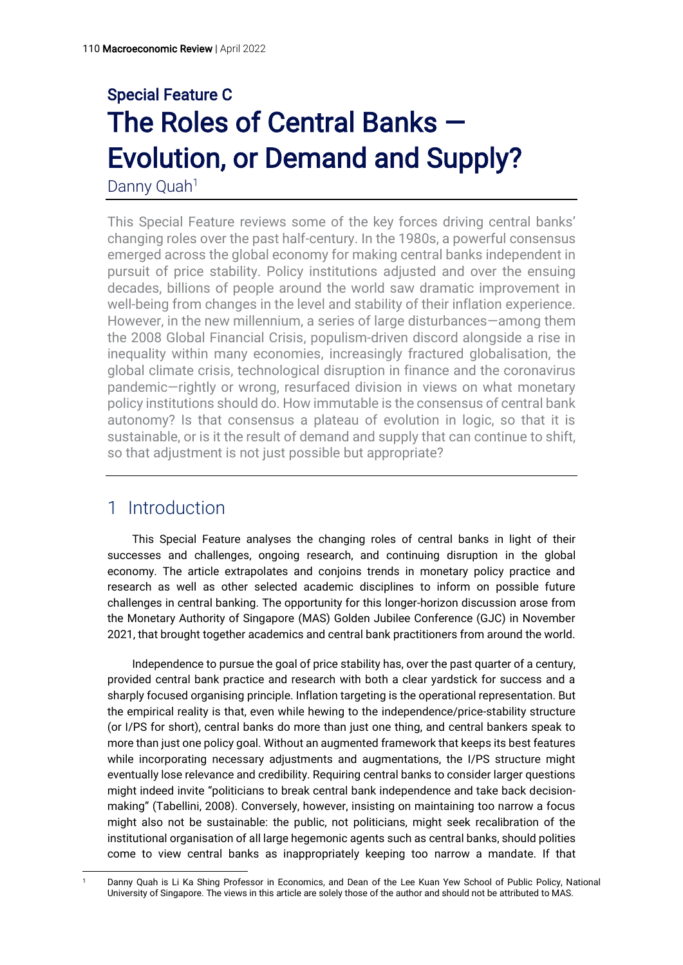# Special Feature C The Roles of Central Banks — Evolution, or Demand and Supply?

Danny Quah<sup>1</sup>

This Special Feature reviews some of the key forces driving central banks' changing roles over the past half-century. In the 1980s, a powerful consensus emerged across the global economy for making central banks independent in pursuit of price stability. Policy institutions adjusted and over the ensuing decades, billions of people around the world saw dramatic improvement in well-being from changes in the level and stability of their inflation experience. However, in the new millennium, a series of large disturbances—among them the 2008 Global Financial Crisis, populism-driven discord alongside a rise in inequality within many economies, increasingly fractured globalisation, the global climate crisis, technological disruption in finance and the coronavirus pandemic—rightly or wrong, resurfaced division in views on what monetary policy institutions should do. How immutable is the consensus of central bank autonomy? Is that consensus a plateau of evolution in logic, so that it is sustainable, or is it the result of demand and supply that can continue to shift, so that adjustment is not just possible but appropriate?

# 1 Introduction

This Special Feature analyses the changing roles of central banks in light of their successes and challenges, ongoing research, and continuing disruption in the global economy. The article extrapolates and conjoins trends in monetary policy practice and research as well as other selected academic disciplines to inform on possible future challenges in central banking. The opportunity for this longer-horizon discussion arose from the Monetary Authority of Singapore (MAS) Golden Jubilee Conference (GJC) in November 2021, that brought together academics and central bank practitioners from around the world.

Independence to pursue the goal of price stability has, over the past quarter of a century, provided central bank practice and research with both a clear yardstick for success and a sharply focused organising principle. Inflation targeting is the operational representation. But the empirical reality is that, even while hewing to the independence/price-stability structure (or I/PS for short), central banks do more than just one thing, and central bankers speak to more than just one policy goal. Without an augmented framework that keeps its best features while incorporating necessary adjustments and augmentations, the I/PS structure might eventually lose relevance and credibility. Requiring central banks to consider larger questions might indeed invite "politicians to break central bank independence and take back decisionmaking" (Tabellini, 2008). Conversely, however, insisting on maintaining too narrow a focus might also not be sustainable: the public, not politicians, might seek recalibration of the institutional organisation of all large hegemonic agents such as central banks, should polities come to view central banks as inappropriately keeping too narrow a mandate. If that

<sup>1</sup> Danny Quah is Li Ka Shing Professor in Economics, and Dean of the Lee Kuan Yew School of Public Policy, National University of Singapore. The views in this article are solely those of the author and should not be attributed to MAS.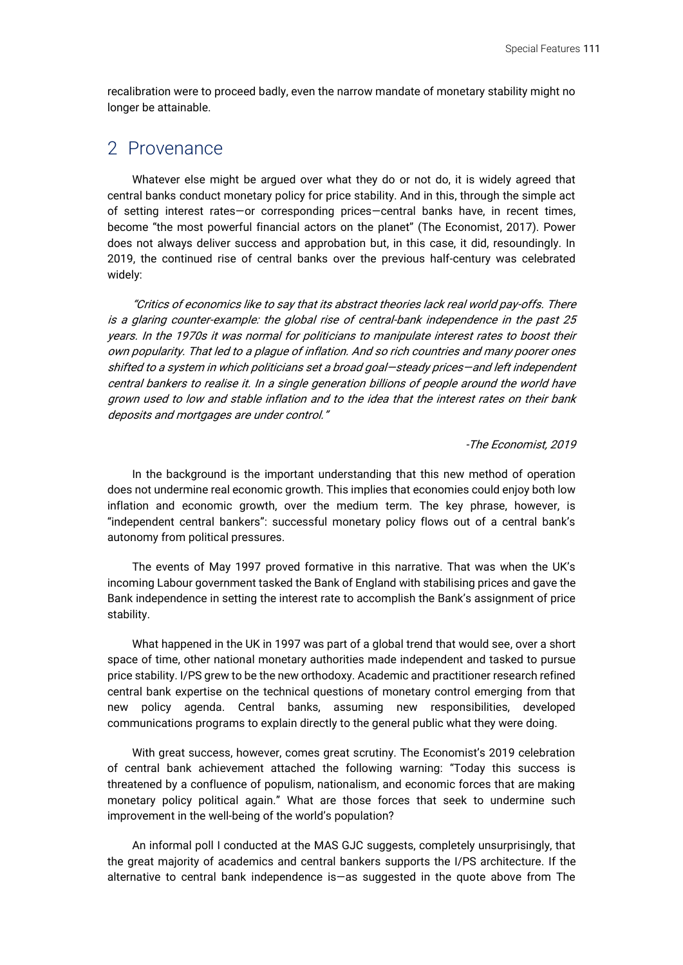recalibration were to proceed badly, even the narrow mandate of monetary stability might no longer be attainable.

#### 2 Provenance

Whatever else might be argued over what they do or not do, it is widely agreed that central banks conduct monetary policy for price stability. And in this, through the simple act of setting interest rates—or corresponding prices—central banks have, in recent times, become "the most powerful financial actors on the planet" (The Economist, 2017). Power does not always deliver success and approbation but, in this case, it did, resoundingly. In 2019, the continued rise of central banks over the previous half-century was celebrated widely:

"Critics of economics like to say that its abstract theories lack real world pay-offs. There is a glaring counter-example: the global rise of central-bank independence in the past 25 years. In the 1970s it was normal for politicians to manipulate interest rates to boost their own popularity. That led to a plague of inflation. And so rich countries and many poorer ones shifted to a system in which politicians set a broad goal—steady prices—and left independent central bankers to realise it. In a single generation billions of people around the world have grown used to low and stable inflation and to the idea that the interest rates on their bank deposits and mortgages are under control."

#### -The Economist, 2019

In the background is the important understanding that this new method of operation does not undermine real economic growth. This implies that economies could enjoy both low inflation and economic growth, over the medium term. The key phrase, however, is "independent central bankers": successful monetary policy flows out of a central bank's autonomy from political pressures.

The events of May 1997 proved formative in this narrative. That was when the UK's incoming Labour government tasked the Bank of England with stabilising prices and gave the Bank independence in setting the interest rate to accomplish the Bank's assignment of price stability.

What happened in the UK in 1997 was part of a global trend that would see, over a short space of time, other national monetary authorities made independent and tasked to pursue price stability. I/PS grew to be the new orthodoxy. Academic and practitioner research refined central bank expertise on the technical questions of monetary control emerging from that new policy agenda. Central banks, assuming new responsibilities, developed communications programs to explain directly to the general public what they were doing.

With great success, however, comes great scrutiny. The Economist's 2019 celebration of central bank achievement attached the following warning: "Today this success is threatened by a confluence of populism, nationalism, and economic forces that are making monetary policy political again." What are those forces that seek to undermine such improvement in the well-being of the world's population?

An informal poll I conducted at the MAS GJC suggests, completely unsurprisingly, that the great majority of academics and central bankers supports the I/PS architecture. If the alternative to central bank independence is—as suggested in the quote above from The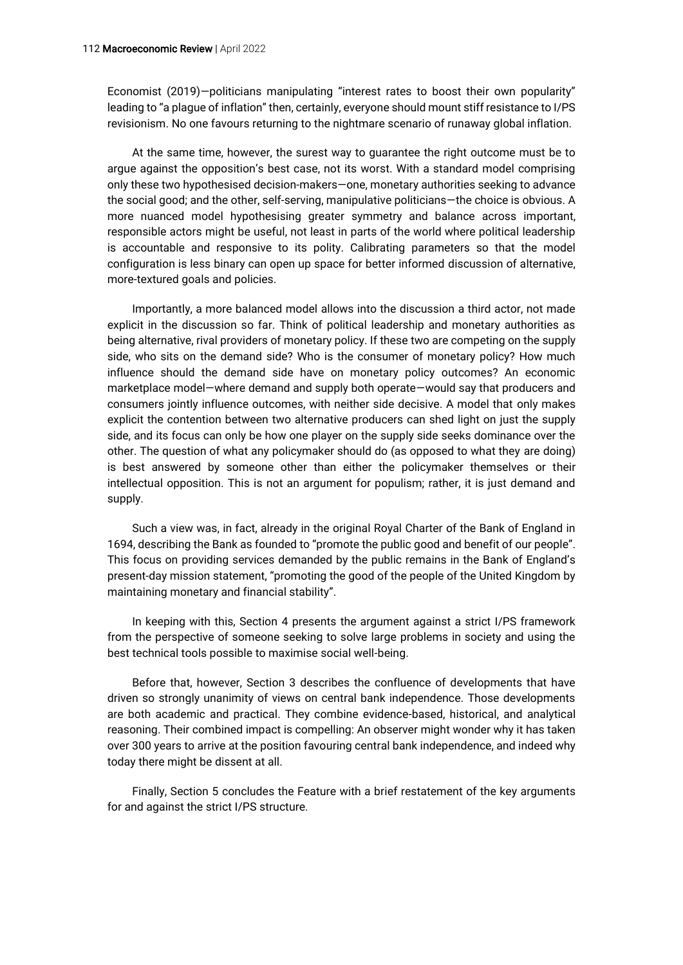Economist (2019)—politicians manipulating "interest rates to boost their own popularity" leading to "a plague of inflation" then, certainly, everyone should mount stiff resistance to I/PS revisionism. No one favours returning to the nightmare scenario of runaway global inflation.

At the same time, however, the surest way to guarantee the right outcome must be to argue against the opposition's best case, not its worst. With a standard model comprising only these two hypothesised decision-makers—one, monetary authorities seeking to advance the social good; and the other, self-serving, manipulative politicians—the choice is obvious. A more nuanced model hypothesising greater symmetry and balance across important, responsible actors might be useful, not least in parts of the world where political leadership is accountable and responsive to its polity. Calibrating parameters so that the model configuration is less binary can open up space for better informed discussion of alternative, more-textured goals and policies.

Importantly, a more balanced model allows into the discussion a third actor, not made explicit in the discussion so far. Think of political leadership and monetary authorities as being alternative, rival providers of monetary policy. If these two are competing on the supply side, who sits on the demand side? Who is the consumer of monetary policy? How much influence should the demand side have on monetary policy outcomes? An economic marketplace model—where demand and supply both operate—would say that producers and consumers jointly influence outcomes, with neither side decisive. A model that only makes explicit the contention between two alternative producers can shed light on just the supply side, and its focus can only be how one player on the supply side seeks dominance over the other. The question of what any policymaker should do (as opposed to what they are doing) is best answered by someone other than either the policymaker themselves or their intellectual opposition. This is not an argument for populism; rather, it is just demand and supply.

Such a view was, in fact, already in the original Royal Charter of the Bank of England in 1694, describing the Bank as founded to "promote the public good and benefit of our people". This focus on providing services demanded by the public remains in the Bank of England's present-day mission statement, "promoting the good of the people of the United Kingdom by maintaining monetary and financial stability".

In keeping with this, Section 4 presents the argument against a strict I/PS framework from the perspective of someone seeking to solve large problems in society and using the best technical tools possible to maximise social well-being.

Before that, however, Section 3 describes the confluence of developments that have driven so strongly unanimity of views on central bank independence. Those developments are both academic and practical. They combine evidence-based, historical, and analytical reasoning. Their combined impact is compelling: An observer might wonder why it has taken over 300 years to arrive at the position favouring central bank independence, and indeed why today there might be dissent at all.

Finally, Section 5 concludes the Feature with a brief restatement of the key arguments for and against the strict I/PS structure.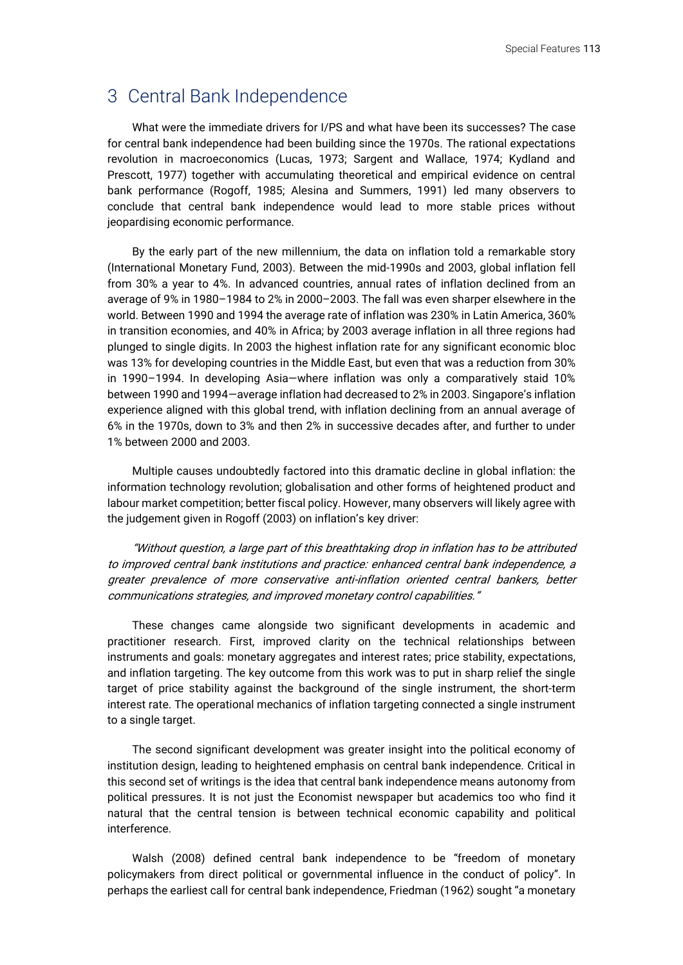#### 3 Central Bank Independence

What were the immediate drivers for I/PS and what have been its successes? The case for central bank independence had been building since the 1970s. The rational expectations revolution in macroeconomics (Lucas, 1973; Sargent and Wallace, 1974; Kydland and Prescott, 1977) together with accumulating theoretical and empirical evidence on central bank performance (Rogoff, 1985; Alesina and Summers, 1991) led many observers to conclude that central bank independence would lead to more stable prices without jeopardising economic performance.

By the early part of the new millennium, the data on inflation told a remarkable story (International Monetary Fund, 2003). Between the mid-1990s and 2003, global inflation fell from 30% a year to 4%. In advanced countries, annual rates of inflation declined from an average of 9% in 1980–1984 to 2% in 2000–2003. The fall was even sharper elsewhere in the world. Between 1990 and 1994 the average rate of inflation was 230% in Latin America, 360% in transition economies, and 40% in Africa; by 2003 average inflation in all three regions had plunged to single digits. In 2003 the highest inflation rate for any significant economic bloc was 13% for developing countries in the Middle East, but even that was a reduction from 30% in 1990–1994. In developing Asia—where inflation was only a comparatively staid 10% between 1990 and 1994—average inflation had decreased to 2% in 2003. Singapore's inflation experience aligned with this global trend, with inflation declining from an annual average of 6% in the 1970s, down to 3% and then 2% in successive decades after, and further to under 1% between 2000 and 2003.

Multiple causes undoubtedly factored into this dramatic decline in global inflation: the information technology revolution; globalisation and other forms of heightened product and labour market competition; better fiscal policy. However, many observers will likely agree with the judgement given in Rogoff (2003) on inflation's key driver:

"Without question, a large part of this breathtaking drop in inflation has to be attributed to improved central bank institutions and practice: enhanced central bank independence, a greater prevalence of more conservative anti-inflation oriented central bankers, better communications strategies, and improved monetary control capabilities."

These changes came alongside two significant developments in academic and practitioner research. First, improved clarity on the technical relationships between instruments and goals: monetary aggregates and interest rates; price stability, expectations, and inflation targeting. The key outcome from this work was to put in sharp relief the single target of price stability against the background of the single instrument, the short-term interest rate. The operational mechanics of inflation targeting connected a single instrument to a single target.

The second significant development was greater insight into the political economy of institution design, leading to heightened emphasis on central bank independence. Critical in this second set of writings is the idea that central bank independence means autonomy from political pressures. It is not just the Economist newspaper but academics too who find it natural that the central tension is between technical economic capability and political interference.

Walsh (2008) defined central bank independence to be "freedom of monetary policymakers from direct political or governmental influence in the conduct of policy". In perhaps the earliest call for central bank independence, Friedman (1962) sought "a monetary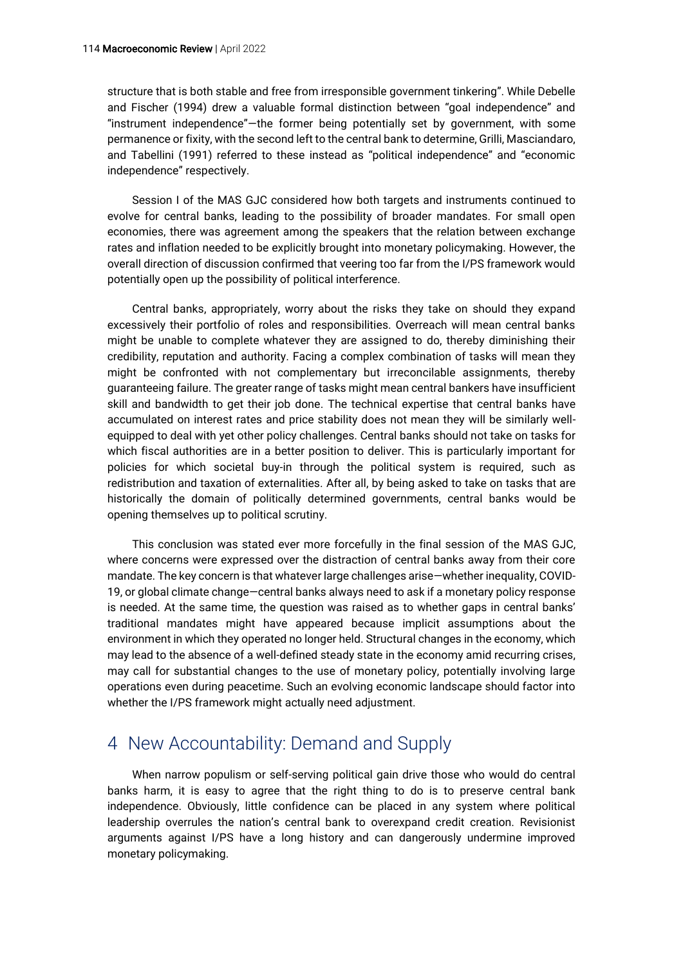structure that is both stable and free from irresponsible government tinkering". While Debelle and Fischer (1994) drew a valuable formal distinction between "goal independence" and "instrument independence"—the former being potentially set by government, with some permanence or fixity, with the second left to the central bank to determine, Grilli, Masciandaro, and Tabellini (1991) referred to these instead as "political independence" and "economic independence" respectively.

Session I of the MAS GJC considered how both targets and instruments continued to evolve for central banks, leading to the possibility of broader mandates. For small open economies, there was agreement among the speakers that the relation between exchange rates and inflation needed to be explicitly brought into monetary policymaking. However, the overall direction of discussion confirmed that veering too far from the I/PS framework would potentially open up the possibility of political interference.

Central banks, appropriately, worry about the risks they take on should they expand excessively their portfolio of roles and responsibilities. Overreach will mean central banks might be unable to complete whatever they are assigned to do, thereby diminishing their credibility, reputation and authority. Facing a complex combination of tasks will mean they might be confronted with not complementary but irreconcilable assignments, thereby guaranteeing failure. The greater range of tasks might mean central bankers have insufficient skill and bandwidth to get their job done. The technical expertise that central banks have accumulated on interest rates and price stability does not mean they will be similarly wellequipped to deal with yet other policy challenges. Central banks should not take on tasks for which fiscal authorities are in a better position to deliver. This is particularly important for policies for which societal buy-in through the political system is required, such as redistribution and taxation of externalities. After all, by being asked to take on tasks that are historically the domain of politically determined governments, central banks would be opening themselves up to political scrutiny.

This conclusion was stated ever more forcefully in the final session of the MAS GJC, where concerns were expressed over the distraction of central banks away from their core mandate. The key concern is that whatever large challenges arise—whether inequality, COVID-19, or global climate change—central banks always need to ask if a monetary policy response is needed. At the same time, the question was raised as to whether gaps in central banks' traditional mandates might have appeared because implicit assumptions about the environment in which they operated no longer held. Structural changes in the economy, which may lead to the absence of a well-defined steady state in the economy amid recurring crises, may call for substantial changes to the use of monetary policy, potentially involving large operations even during peacetime. Such an evolving economic landscape should factor into whether the I/PS framework might actually need adjustment.

## 4 New Accountability: Demand and Supply

When narrow populism or self-serving political gain drive those who would do central banks harm, it is easy to agree that the right thing to do is to preserve central bank independence. Obviously, little confidence can be placed in any system where political leadership overrules the nation's central bank to overexpand credit creation. Revisionist arguments against I/PS have a long history and can dangerously undermine improved monetary policymaking.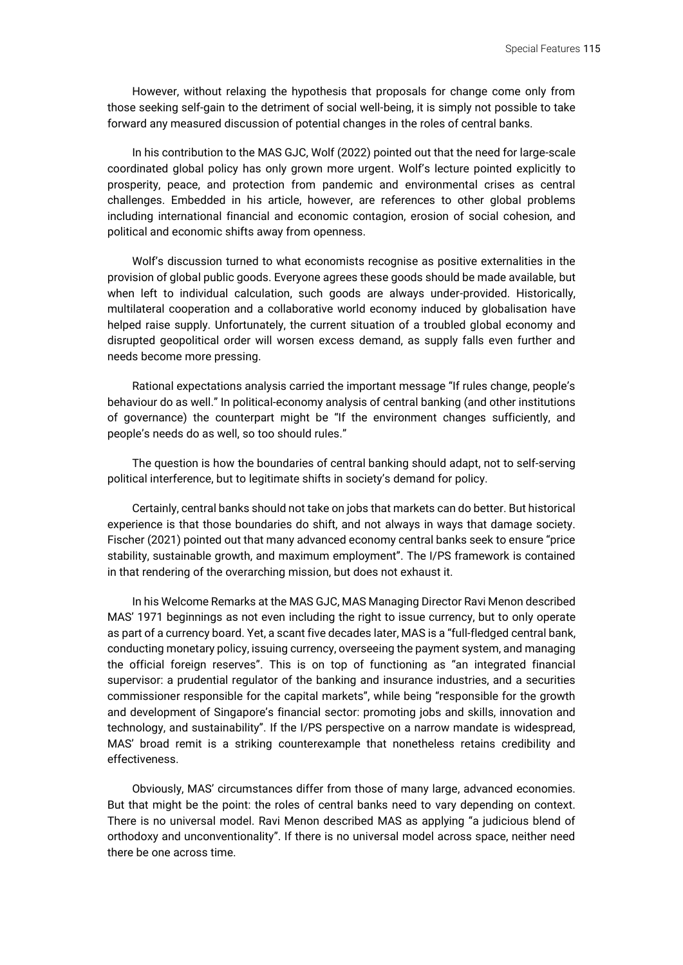However, without relaxing the hypothesis that proposals for change come only from those seeking self-gain to the detriment of social well-being, it is simply not possible to take forward any measured discussion of potential changes in the roles of central banks.

In his contribution to the MAS GJC, Wolf (2022) pointed out that the need for large-scale coordinated global policy has only grown more urgent. Wolf's lecture pointed explicitly to prosperity, peace, and protection from pandemic and environmental crises as central challenges. Embedded in his article, however, are references to other global problems including international financial and economic contagion, erosion of social cohesion, and political and economic shifts away from openness.

Wolf's discussion turned to what economists recognise as positive externalities in the provision of global public goods. Everyone agrees these goods should be made available, but when left to individual calculation, such goods are always under-provided. Historically, multilateral cooperation and a collaborative world economy induced by globalisation have helped raise supply. Unfortunately, the current situation of a troubled global economy and disrupted geopolitical order will worsen excess demand, as supply falls even further and needs become more pressing.

Rational expectations analysis carried the important message "If rules change, people's behaviour do as well." In political-economy analysis of central banking (and other institutions of governance) the counterpart might be "If the environment changes sufficiently, and people's needs do as well, so too should rules."

The question is how the boundaries of central banking should adapt, not to self-serving political interference, but to legitimate shifts in society's demand for policy.

Certainly, central banks should not take on jobs that markets can do better. But historical experience is that those boundaries do shift, and not always in ways that damage society. Fischer (2021) pointed out that many advanced economy central banks seek to ensure "price stability, sustainable growth, and maximum employment". The I/PS framework is contained in that rendering of the overarching mission, but does not exhaust it.

In his Welcome Remarks at the MAS GJC, MAS Managing Director Ravi Menon described MAS' 1971 beginnings as not even including the right to issue currency, but to only operate as part of a currency board. Yet, a scant five decades later, MAS is a "full-fledged central bank, conducting monetary policy, issuing currency, overseeing the payment system, and managing the official foreign reserves". This is on top of functioning as "an integrated financial supervisor: a prudential regulator of the banking and insurance industries, and a securities commissioner responsible for the capital markets", while being "responsible for the growth and development of Singapore's financial sector: promoting jobs and skills, innovation and technology, and sustainability". If the I/PS perspective on a narrow mandate is widespread, MAS' broad remit is a striking counterexample that nonetheless retains credibility and effectiveness.

Obviously, MAS' circumstances differ from those of many large, advanced economies. But that might be the point: the roles of central banks need to vary depending on context. There is no universal model. Ravi Menon described MAS as applying "a judicious blend of orthodoxy and unconventionality". If there is no universal model across space, neither need there be one across time.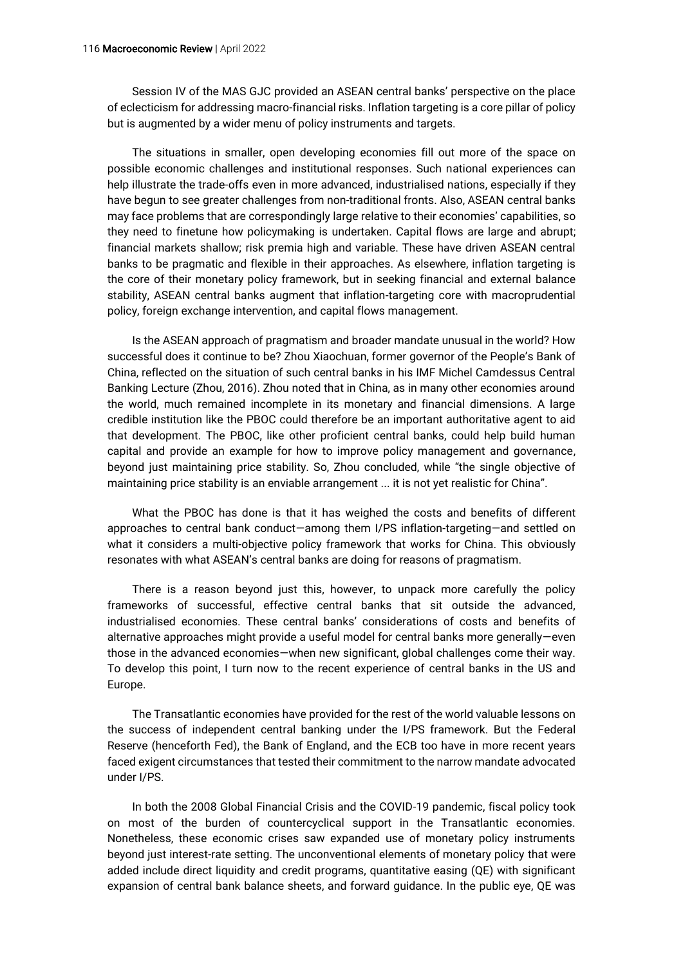Session IV of the MAS GJC provided an ASEAN central banks' perspective on the place of eclecticism for addressing macro-financial risks. Inflation targeting is a core pillar of policy but is augmented by a wider menu of policy instruments and targets.

The situations in smaller, open developing economies fill out more of the space on possible economic challenges and institutional responses. Such national experiences can help illustrate the trade-offs even in more advanced, industrialised nations, especially if they have begun to see greater challenges from non-traditional fronts. Also, ASEAN central banks may face problems that are correspondingly large relative to their economies' capabilities, so they need to finetune how policymaking is undertaken. Capital flows are large and abrupt; financial markets shallow; risk premia high and variable. These have driven ASEAN central banks to be pragmatic and flexible in their approaches. As elsewhere, inflation targeting is the core of their monetary policy framework, but in seeking financial and external balance stability, ASEAN central banks augment that inflation-targeting core with macroprudential policy, foreign exchange intervention, and capital flows management.

Is the ASEAN approach of pragmatism and broader mandate unusual in the world? How successful does it continue to be? Zhou Xiaochuan, former governor of the People's Bank of China, reflected on the situation of such central banks in his IMF Michel Camdessus Central Banking Lecture (Zhou, 2016). Zhou noted that in China, as in many other economies around the world, much remained incomplete in its monetary and financial dimensions. A large credible institution like the PBOC could therefore be an important authoritative agent to aid that development. The PBOC, like other proficient central banks, could help build human capital and provide an example for how to improve policy management and governance, beyond just maintaining price stability. So, Zhou concluded, while "the single objective of maintaining price stability is an enviable arrangement ... it is not yet realistic for China".

What the PBOC has done is that it has weighed the costs and benefits of different approaches to central bank conduct—among them I/PS inflation-targeting—and settled on what it considers a multi-objective policy framework that works for China. This obviously resonates with what ASEAN's central banks are doing for reasons of pragmatism.

There is a reason beyond just this, however, to unpack more carefully the policy frameworks of successful, effective central banks that sit outside the advanced, industrialised economies. These central banks' considerations of costs and benefits of alternative approaches might provide a useful model for central banks more generally—even those in the advanced economies—when new significant, global challenges come their way. To develop this point, I turn now to the recent experience of central banks in the US and Europe.

The Transatlantic economies have provided for the rest of the world valuable lessons on the success of independent central banking under the I/PS framework. But the Federal Reserve (henceforth Fed), the Bank of England, and the ECB too have in more recent years faced exigent circumstances that tested their commitment to the narrow mandate advocated under I/PS.

In both the 2008 Global Financial Crisis and the COVID-19 pandemic, fiscal policy took on most of the burden of countercyclical support in the Transatlantic economies. Nonetheless, these economic crises saw expanded use of monetary policy instruments beyond just interest-rate setting. The unconventional elements of monetary policy that were added include direct liquidity and credit programs, quantitative easing (QE) with significant expansion of central bank balance sheets, and forward guidance. In the public eye, QE was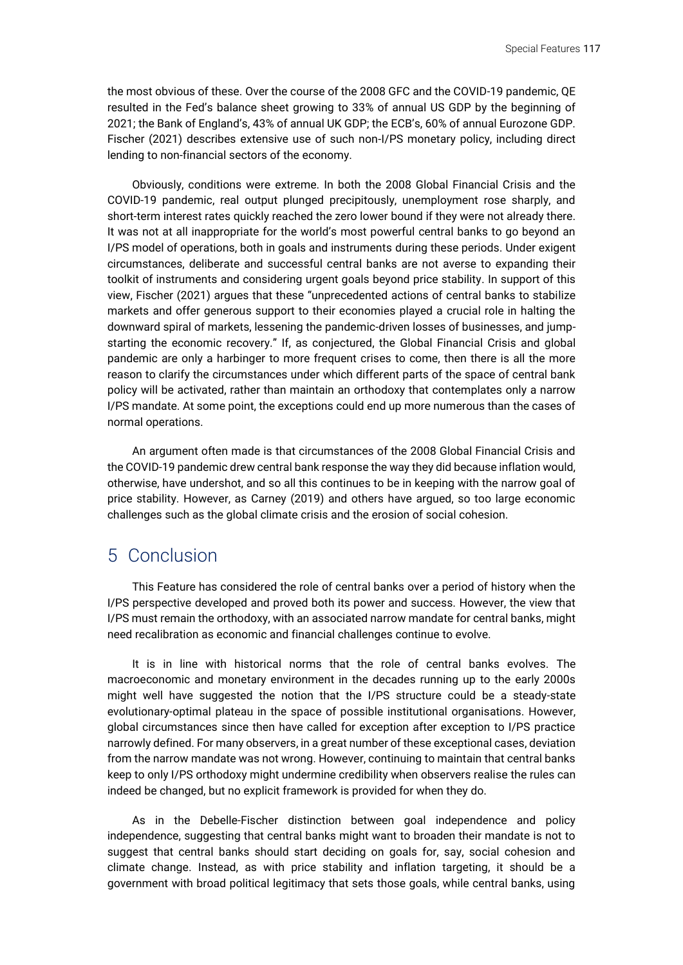the most obvious of these. Over the course of the 2008 GFC and the COVID-19 pandemic, QE resulted in the Fed's balance sheet growing to 33% of annual US GDP by the beginning of 2021; the Bank of England's, 43% of annual UK GDP; the ECB's, 60% of annual Eurozone GDP. Fischer (2021) describes extensive use of such non-I/PS monetary policy, including direct lending to non-financial sectors of the economy.

Obviously, conditions were extreme. In both the 2008 Global Financial Crisis and the COVID-19 pandemic, real output plunged precipitously, unemployment rose sharply, and short-term interest rates quickly reached the zero lower bound if they were not already there. It was not at all inappropriate for the world's most powerful central banks to go beyond an I/PS model of operations, both in goals and instruments during these periods. Under exigent circumstances, deliberate and successful central banks are not averse to expanding their toolkit of instruments and considering urgent goals beyond price stability. In support of this view, Fischer (2021) argues that these "unprecedented actions of central banks to stabilize markets and offer generous support to their economies played a crucial role in halting the downward spiral of markets, lessening the pandemic-driven losses of businesses, and jumpstarting the economic recovery." If, as conjectured, the Global Financial Crisis and global pandemic are only a harbinger to more frequent crises to come, then there is all the more reason to clarify the circumstances under which different parts of the space of central bank policy will be activated, rather than maintain an orthodoxy that contemplates only a narrow I/PS mandate. At some point, the exceptions could end up more numerous than the cases of normal operations.

An argument often made is that circumstances of the 2008 Global Financial Crisis and the COVID-19 pandemic drew central bank response the way they did because inflation would, otherwise, have undershot, and so all this continues to be in keeping with the narrow goal of price stability. However, as Carney (2019) and others have argued, so too large economic challenges such as the global climate crisis and the erosion of social cohesion.

### 5 Conclusion

This Feature has considered the role of central banks over a period of history when the I/PS perspective developed and proved both its power and success. However, the view that I/PS must remain the orthodoxy, with an associated narrow mandate for central banks, might need recalibration as economic and financial challenges continue to evolve.

It is in line with historical norms that the role of central banks evolves. The macroeconomic and monetary environment in the decades running up to the early 2000s might well have suggested the notion that the I/PS structure could be a steady-state evolutionary-optimal plateau in the space of possible institutional organisations. However, global circumstances since then have called for exception after exception to I/PS practice narrowly defined. For many observers, in a great number of these exceptional cases, deviation from the narrow mandate was not wrong. However, continuing to maintain that central banks keep to only I/PS orthodoxy might undermine credibility when observers realise the rules can indeed be changed, but no explicit framework is provided for when they do.

As in the Debelle-Fischer distinction between goal independence and policy independence, suggesting that central banks might want to broaden their mandate is not to suggest that central banks should start deciding on goals for, say, social cohesion and climate change. Instead, as with price stability and inflation targeting, it should be a government with broad political legitimacy that sets those goals, while central banks, using